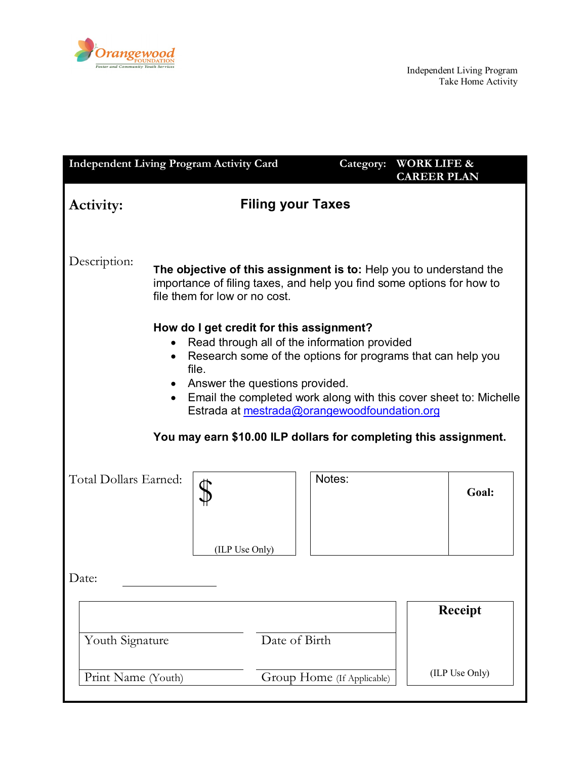

| <b>Independent Living Program Activity Card</b>                                                                                                                                                                                                                                                                                                   |                                                                                                                                                                              |                | Category:                  | <b>WORK LIFE &amp;</b><br><b>CAREER PLAN</b> |                |
|---------------------------------------------------------------------------------------------------------------------------------------------------------------------------------------------------------------------------------------------------------------------------------------------------------------------------------------------------|------------------------------------------------------------------------------------------------------------------------------------------------------------------------------|----------------|----------------------------|----------------------------------------------|----------------|
| Activity:                                                                                                                                                                                                                                                                                                                                         | <b>Filing your Taxes</b>                                                                                                                                                     |                |                            |                                              |                |
| Description:                                                                                                                                                                                                                                                                                                                                      | The objective of this assignment is to: Help you to understand the<br>importance of filing taxes, and help you find some options for how to<br>file them for low or no cost. |                |                            |                                              |                |
| How do I get credit for this assignment?<br>Read through all of the information provided<br>Research some of the options for programs that can help you<br>$\bullet$<br>file.<br>Answer the questions provided.<br>Email the completed work along with this cover sheet to: Michelle<br>$\bullet$<br>Estrada at mestrada@orangewoodfoundation.org |                                                                                                                                                                              |                |                            |                                              |                |
| You may earn \$10.00 ILP dollars for completing this assignment.                                                                                                                                                                                                                                                                                  |                                                                                                                                                                              |                |                            |                                              |                |
| Total Dollars Earned:                                                                                                                                                                                                                                                                                                                             |                                                                                                                                                                              | (ILP Use Only) | Notes:                     |                                              | Goal:          |
| Date:                                                                                                                                                                                                                                                                                                                                             |                                                                                                                                                                              |                |                            |                                              |                |
| Youth Signature                                                                                                                                                                                                                                                                                                                                   |                                                                                                                                                                              | Date of Birth  |                            |                                              | <b>Receipt</b> |
| Print Name (Youth)                                                                                                                                                                                                                                                                                                                                |                                                                                                                                                                              |                | Group Home (If Applicable) |                                              | (ILP Use Only) |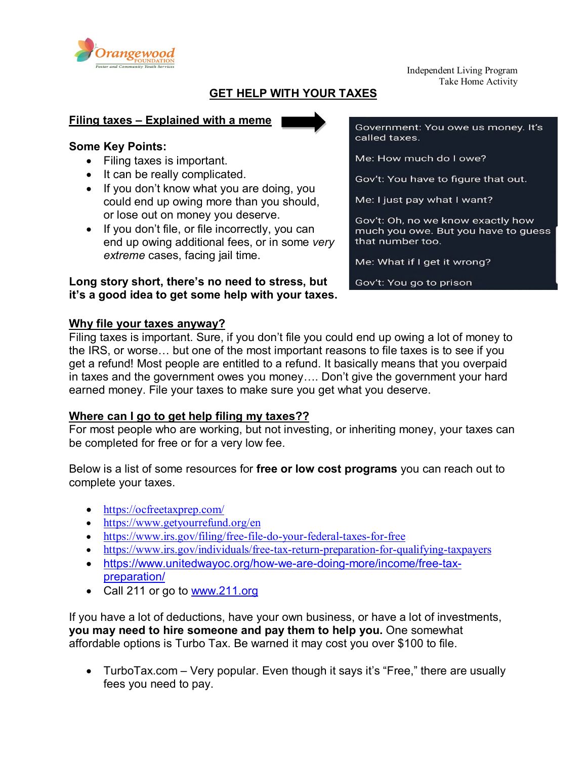

Independent Living Program Take Home Activity

## **GET HELP WITH YOUR TAXES**

#### **Filing taxes – Explained with a meme**

### **Some Key Points:**

- Filing taxes is important.
- It can be really complicated.
- If you don't know what you are doing, you could end up owing more than you should, or lose out on money you deserve.
- If you don't file, or file incorrectly, you can end up owing additional fees, or in some *very extreme* cases, facing jail time.

## **Long story short, there's no need to stress, but it's a good idea to get some help with your taxes.**

Government: You owe us money. It's called taxes.

Me: How much do I owe?

Gov't: You have to figure that out.

Me: I just pay what I want?

Gov't: Oh, no we know exactly how much you owe. But you have to guess that number too.

Me: What if I get it wrong?

Gov't: You go to prison

### **Why file your taxes anyway?**

Filing taxes is important. Sure, if you don't file you could end up owing a lot of money to the IRS, or worse… but one of the most important reasons to file taxes is to see if you get a refund! Most people are entitled to a refund. It basically means that you overpaid in taxes and the government owes you money…. Don't give the government your hard earned money. File your taxes to make sure you get what you deserve.

### **Where can I go to get help filing my taxes??**

For most people who are working, but not investing, or inheriting money, your taxes can be completed for free or for a very low fee.

Below is a list of some resources for **free or low cost programs** you can reach out to complete your taxes.

- <https://ocfreetaxprep.com/>
- <https://www.getyourrefund.org/en>
- <https://www.irs.gov/filing/free-file-do-your-federal-taxes-for-free>
- <https://www.irs.gov/individuals/free-tax-return-preparation-for-qualifying-taxpayers>
- [https://www.unitedwayoc.org/how-we-are-doing-more/income/free-tax](https://www.unitedwayoc.org/how-we-are-doing-more/income/free-tax-preparation/)[preparation/](https://www.unitedwayoc.org/how-we-are-doing-more/income/free-tax-preparation/)
- Call 211 or go to [www.211.org](http://www.211.org/)

If you have a lot of deductions, have your own business, or have a lot of investments, **you may need to hire someone and pay them to help you.** One somewhat affordable options is Turbo Tax. Be warned it may cost you over \$100 to file.

• TurboTax.com – Very popular. Even though it says it's "Free," there are usually fees you need to pay.